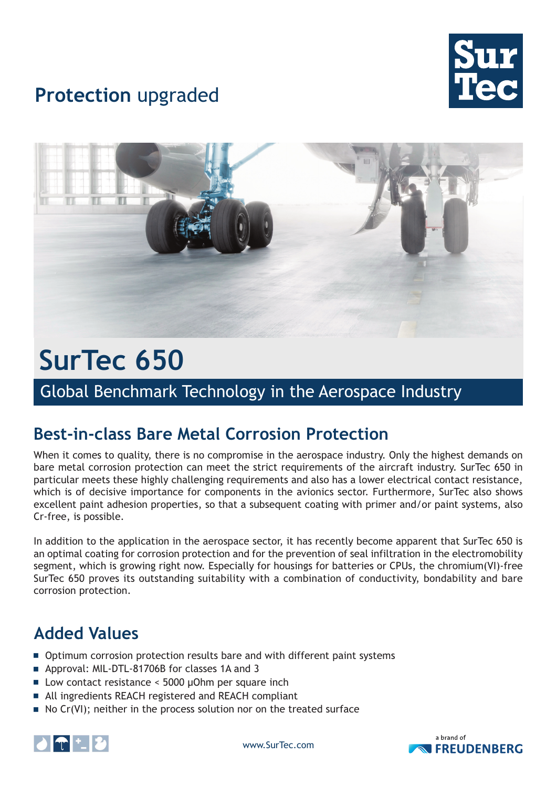

## **Protection** upgraded



# **SurTec 650**

Global Benchmark Technology in the Aerospace Industry

### **Best-in-class Bare Metal Corrosion Protection**

When it comes to quality, there is no compromise in the aerospace industry. Only the highest demands on bare metal corrosion protection can meet the strict requirements of the aircraft industry. SurTec 650 in particular meets these highly challenging requirements and also has a lower electrical contact resistance, which is of decisive importance for components in the avionics sector. Furthermore, SurTec also shows excellent paint adhesion properties, so that a subsequent coating with primer and/or paint systems, also Cr-free, is possible.

In addition to the application in the aerospace sector, it has recently become apparent that SurTec 650 is an optimal coating for corrosion protection and for the prevention of seal infiltration in the electromobility segment, which is growing right now. Especially for housings for batteries or CPUs, the chromium(VI)-free SurTec 650 proves its outstanding suitability with a combination of conductivity, bondability and bare corrosion protection.

### **Added Values**

- **Detimum corrosion protection results bare and with different paint systems**
- **E** Approval: MIL-DTL-81706B for classes 1A and 3
- Low contact resistance  $\leq$  5000 µOhm per square inch
- All ingredients REACH registered and REACH compliant
- $\blacksquare$  No Cr(VI); neither in the process solution nor on the treated surface